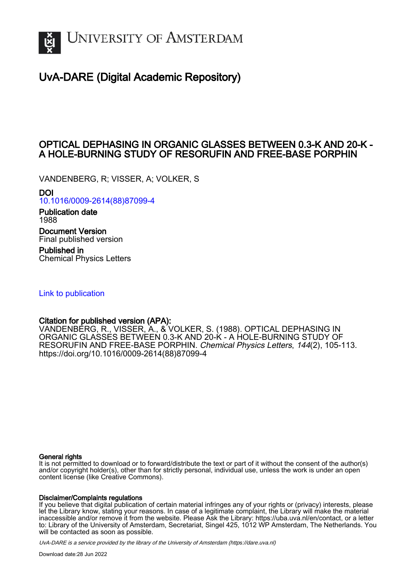

# UvA-DARE (Digital Academic Repository)

## OPTICAL DEPHASING IN ORGANIC GLASSES BETWEEN 0.3-K AND 20-K - A HOLE-BURNING STUDY OF RESORUFIN AND FREE-BASE PORPHIN

VANDENBERG, R; VISSER, A; VOLKER, S

DOI

[10.1016/0009-2614\(88\)87099-4](https://doi.org/10.1016/0009-2614(88)87099-4)

Publication date 1988

Document Version Final published version

Published in Chemical Physics Letters

[Link to publication](https://dare.uva.nl/personal/pure/en/publications/optical-dephasing-in-organic-glasses-between-03k-and-20k--a-holeburning-study-of-resorufin-and-freebase-porphin(85ae3a41-c224-499b-b1b1-59c5a00e35d2).html)

## Citation for published version (APA):

VANDENBERG, R., VISSER, A., & VOLKER, S. (1988). OPTICAL DEPHASING IN ORGANIC GLASSES BETWEEN 0.3-K AND 20-K - A HOLE-BURNING STUDY OF RESORUFIN AND FREE-BASE PORPHIN. Chemical Physics Letters, 144(2), 105-113. [https://doi.org/10.1016/0009-2614\(88\)87099-4](https://doi.org/10.1016/0009-2614(88)87099-4)

## General rights

It is not permitted to download or to forward/distribute the text or part of it without the consent of the author(s) and/or copyright holder(s), other than for strictly personal, individual use, unless the work is under an open content license (like Creative Commons).

## Disclaimer/Complaints regulations

If you believe that digital publication of certain material infringes any of your rights or (privacy) interests, please let the Library know, stating your reasons. In case of a legitimate complaint, the Library will make the material inaccessible and/or remove it from the website. Please Ask the Library: https://uba.uva.nl/en/contact, or a letter to: Library of the University of Amsterdam, Secretariat, Singel 425, 1012 WP Amsterdam, The Netherlands. You will be contacted as soon as possible.

UvA-DARE is a service provided by the library of the University of Amsterdam (http*s*://dare.uva.nl)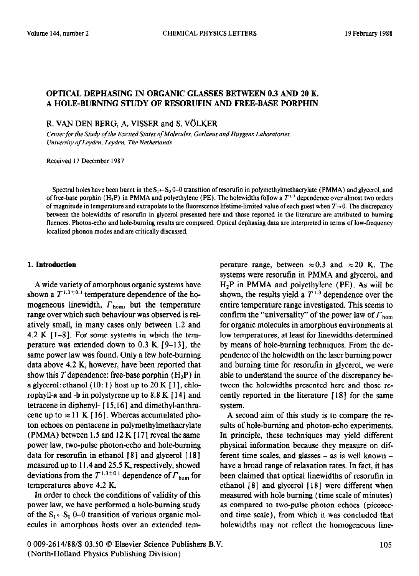### OPTICAL DEPHASING IN ORGANIC GLASSES BETWEEN 0.3 AND 20 K. A HOLE-BURNING STUDY OF RESORUFIN AND FREE-BASE PORPHIN

R. VAN DEN BERG, A. VISSER and S. VOLKER

Center for the Study of the Excited States of Molecules, Gorlaeus and Huygens Laboratories, *University of Leyden, Leyden, The Netherlands* 

Received 17 December 1987

Spectral holes have been burnt in the  $S_1 \leftarrow S_0$  0–0 transition of resorutin in polymethylmethacrylate (PMMA) and glycerol, and of free-base porphin  $(H_2P)$  in PMMA and polyethylene (PE). The holewidths follow a  $T^{1,3}$  dependence over almost two orders of magnitude in temperature and extrapolate to the fluorescence lifetime-limited value of each guest when  $T\rightarrow 0$ . The discrepancy between the holewidths of resorufin in glycerol presented here and those reported in the literature are attributed to burning fluences. Photon-echo and hole-burning results are compared. Optical dephasing data are interpreted in terms of low-frequency localized phonon modes and are critically discussed.

#### **1. Introduction**

A wide variety of amorphous organic systems have shown a  $T^{1.3\pm0.1}$  temperature dependence of the homogeneous linewidth,  $\Gamma_{\text{hom}}$ , but the temperature range over which such behaviour was observed is relatively small, in many cases only between 1.2 and 4.2 K  $[1-8]$ . For some systems in which the temperature was extended down to 0.3 K  $[9-13]$ , the same power law was found. Only a few hole-burning data above 4.2 K, however, have been reported that show this  $T$  dependence: free-base porphin  $(H_2P)$  in a glycerol: ethanol  $(10:1)$  host up to 20 K [1], chlorophyll-a and -b in polystyrene up to 8.8 K [ 141 and tetracene in diphenyl- [ 15,161 and dimethyl-anthracene up to  $\approx$  11 K [16]. Whereas accumulated photon echoes on pentacene in polymethylmethacrylate (PMMA) between 1.5 and  $12 K$  [17] reveal the same power law, two-pulse photon-echo and hole-burning data for resorufin in ethanol  $[8]$  and glycerol  $[18]$ measured up to 11.4 and 25.5 K, respectively, showed deviations from the  $T^{1.3\pm0.1}$  dependence of  $\Gamma_{\text{hom}}$  for temperatures above 4.2 K.

In order to check the conditions of validity of this power law, we have performed a hole-burning study of the  $S_1 \leftarrow S_0$  0-0 transition of various organic molecules in amorphous hosts over an extended temperature range, between  $\approx 0.3$  and  $\approx 20$  K. The systems were resorufin in PMMA and glycerol, and H2P in PMMA and polyethylene **(PE) .** As will be shown, the results yield a  $T^{1.3}$  dependence over the entire temperature range investigated. This seems to confirm the "universality" of the power law of  $\Gamma_{\text{hom}}$ for organic molecules in amorphous environments at low temperatures, at least for linewidths determined by means of hole-burning techniques. From the dependence of the holewidth on the laser burning power and burning time for resorufin in glycerol, we were able to understand the source of the discrepancy between the holewidths presented here and those recently reported in the literature [ 181 for the same system.

A second aim of this study is to compare the results of hole-burning and photon-echo experiments. In principle, these techniques may yield different physical information because they measure on different time scales, and glasses  $-$  as is well known  $$ have a broad range of relaxation rates. In fact, it has been claimed that optical linewidths of resorufin in ethanol [ 81 and glycerol [ 18 1 were different when measured with hole burning (time scale of minutes) as compared to two-pulse photon echoes (picosecond time scale), from which it was concluded that holewidths may not reflect the homogeneous line-

0 009-2614/88/\$ 03.50 0 Elsevier Science Publishers B.V. (North-Holland Physics Publishing Division)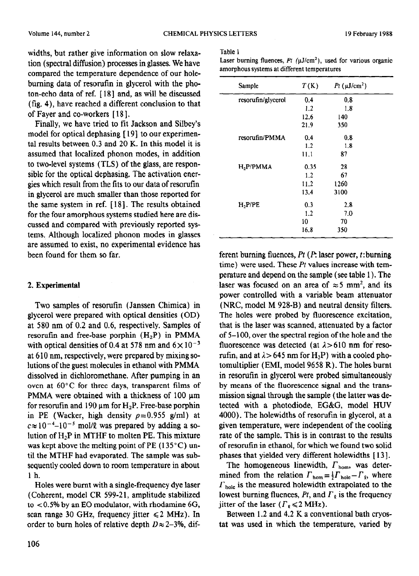widths, but rather give information on slow relaxation (spectral diffusion) processes in glasses. We have compared the temperature dependence of our holeburning data of resorufin in glycerol with the photon-echo data of ref. [ 18 ] and, as will be discussed (fig. 4), have reached a different conclusion to that of Fayer and co-workers [ 18 1,

Finally, we have tried to fit Jackson and Silbey's model for optical dephasing [ 191 to our experimental results between 0.3 and 20 K. In this model it is assumed that localized phonon modes, in addition to two-level systems (TLS) of the glass, are responsible for the optical dephasing. The activation energies which result from the fits to our data of resorufin in glycerol are much smaller than those reported for the same system in ref. [ 181. The results obtained for the four amorphous systems studied here are discussed and compared with previously reported systems. Although localized phonon modes in glasses are assumed to exist, no experimental evidence has been found for them so far.

## 2. **Experimental**

Two samples of resorufin (Janssen Chimica) in glycerol were prepared with optical densities (OD) at 580 nm of 0.2 and 0.6, respectively. Samples of resorufin and free-base porphin  $(H_2P)$  in PMMA with optical densities of 0.4 at 578 nm and  $6 \times 10^{-3}$ at 6 10 nm, respectively, were prepared by mixing solutions of the guest molecules in ethanol with PMMA dissolved in dichloromethane. After pumping in an oven at 60°C for three days, transparent films of PMMA were obtained with a thickness of  $100 \mu m$ for resorufin and 190  $\mu$ m for H<sub>2</sub>P. Free-base porphin in PE (Wacker, high density  $p=0.955$  g/ml) at  $c \approx 10^{-4} - 10^{-5}$  mol/l was prepared by adding a solution of  $H_2P$  in MTHF to molten PE. This mixture was kept above the melting point of PE  $(135^{\circ}C)$  until the MTHF had evaporated. The sample was subsequently cooled down to room temperature in about 1 h.

Holes were burnt with a single-frequency dye laser (Coherent, model CR 599-21, amplitude stabilized to  $<$  0.5% by an EO modulator, with rhodamine 6G, scan range 30 GHz, frequency jitter  $\leq 2$  MHz). In order to burn holes of relative depth  $D \approx 2-3\%$ , dif-

#### Table 1

Laser burning fluences,  $Pt$  ( $\mu$ J/cm<sup>2</sup>), used for various organic amorphous systems at different temperatures

| Sample             | T(K) | $Pt$ (µJ/cm <sup>2</sup> ) |  |
|--------------------|------|----------------------------|--|
| resorufin/glycerol | 0.4  | 0.8                        |  |
|                    | 1.2  | 1.8                        |  |
|                    | 12.6 | 140                        |  |
|                    | 21.9 | 350                        |  |
| resorufin/PMMA     | 0.4  | 0.8                        |  |
|                    | 1.2  | 1.8                        |  |
|                    | 11.1 | 87                         |  |
| H, P/PMMA          | 0.35 | 28                         |  |
|                    | 1.2  | 67                         |  |
|                    | 11.2 | 1260                       |  |
|                    | 13.4 | 3100                       |  |
| $H_2$ P/PE         | 0.3  | 2.8                        |  |
|                    | 1.2  | 7.0                        |  |
|                    | 10   | 70                         |  |
|                    | 16.8 | 350                        |  |

ferent burning fluences, *Pt (P. laser power, t: burning* time) were used. These *Pt* values increase with temperature and depend on the sample (see table 1) . The laser was focused on an area of  $\approx$  5 mm<sup>2</sup>, and its power controlled with a variable beam attenuator (NRC, model M 928-B) and neutral density filters. The holes were probed by fluorescence excitation, that is the laser was scanned, attenuated by a factor of 5-100, over the spectral region of the hole and the fluorescence was detected (at  $\lambda > 610$  nm for resorufin, and at  $\lambda > 645$  nm for H<sub>2</sub>P) with a cooled photomultiplier (EMI, model 9658 R). The holes burnt in resorufin in glycerol were probed simultaneously by means of the fluorescence signal and the transmission signal through the sample (the latter was detected with a photodiode, EG&G, model HUV 4000). The holewidths of resorutin in glycerol, at a given temperature, were independent of the cooling rate of the sample. This is in contrast to the results of resorutin in ethanol, for which we found two solid phases that yielded very different holewidths [ 13 1.

The homogeneous linewidth,  $\Gamma_{\text{hom}}$ , was determined from the relation  $\Gamma_{\text{hom}} = \frac{1}{2} \Gamma_{\text{hole}} - \Gamma_{\varrho}$ , where  $r_{\text{hole}}$  is the measured holewidth extrapolated to the lowest burning fluences,  $Pt$ , and  $\Gamma_{\varrho}$  is the frequency jitter of the laser  $(\Gamma_{\rm g} \leq 2 \, \text{MHz})$ .

Between 1.2 and 4.2 K a conventional bath cryostat was used in which the temperature, varied by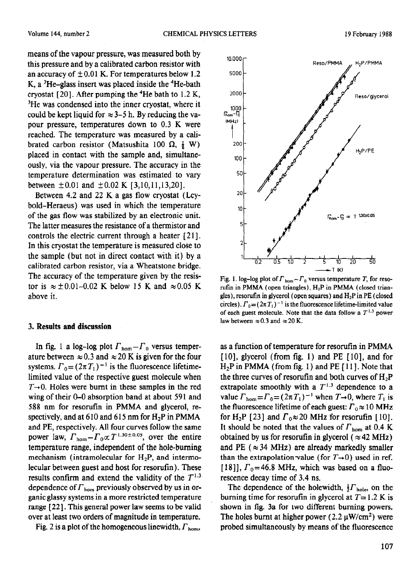means of the vapour pressure, was measured both by this pressure and by a calibrated carbon resistor with an accuracy of  $\pm 0.01$  K. For temperatures below 1.2 K, a  ${}^{3}$ He-glass insert was placed inside the  ${}^{4}$ He-bath cryostat [20]. After pumping the <sup>4</sup>He bath to 1.2 K, <sup>3</sup>He was condensed into the inner cryostat, where it could be kept liquid for  $\approx$  3-5 h. By reducing the vapour pressure, temperatures down to 0.3 K were reached. The temperature was measured by a calibrated carbon resistor (Matsushita 100  $\Omega$ ,  $\frac{1}{8}$  W) placed in contact with the sample and, simultaneously, via the vapour pressure. The accuracy in the temperature determination was estimated to vary between  $\pm 0.01$  and  $\pm 0.02$  K [3,10,11,13,20].

Between 4.2 and 22 K a gas flow cryostat (Leybold-Heraeus) was used in which the temperature of the gas flow was stabilized by an electronic unit. The latter measures the resistance of a thermistor and controls the electric current through a heater [21]. In this cryostat the temperature is measured close to the sample (but not in direct contact with it) by a calibrated carbon resistor, via a Wheatstone bridge. The accuracy of the temperature given by the resistor is  $\approx \pm 0.01 - 0.02$  K below 15 K and  $\approx 0.05$  K above it.

#### 3. Results **and discussion**

In fig. 1 a log-log plot  $\Gamma_{\text{hom}} - \Gamma_0$  versus temperature between  $\approx 0.3$  and  $\approx 20$  K is given for the four systems.  $\Gamma_0 = (2\pi T_1)^{-1}$  is the fluorescence lifetimelimited value of the respective guest molecule when  $T\rightarrow 0$ . Holes were burnt in these samples in the red wing of their 0–0 absorption band at about 591 and 588 nm for resorufin in PMMA and glycerol, respectively, and at 610 and 615 nm for  $H_2P$  in PMMA and PE, respectively. All four curves follow the same power law,  $\Gamma_{\text{hom}} - \Gamma_0 \propto T^{1.30 \pm 0.05}$ , over the entire temperature range, independent of the hole-burning mechanism (intramolecular for  $H_2P$ , and intermolecular between guest and host for resorufin). These results confirm and extend the validity of the  $T^{1.3}$ dependence of  $\Gamma_{\text{hom}}$  previously observed by us in organic glassy systems in a more restricted temperature range [22]. This general power law seems to be valid over at least two orders of magnitude in temperature.

Fig. 2 is a plot of the homogeneous linewidth,  $\Gamma_{\text{hom}}$ ,



Fig. 1. log-log plot of  $\Gamma_{\text{hom}} - \Gamma_0$  versus temperature T, for resorufin in PMMA (open triangles),  $H_2P$  in PMMA (closed triangles), resorutin in glycerol (open squares) and  $H_2P$  in PE (closed circles).  $\Gamma_0 = (2\pi T_1)^{-1}$  is the fluorescence lifetime-limited value of each guest molecule. Note that the data follow a  $T^{1.3}$  power law between  $\approx 0.3$  and  $\approx 20$  K.

as a function of temperature for resorufin in PMMA [10], glycerol (from fig. 1) and PE [10], and for  $H_2P$  in PMMA (from fig. 1) and PE [11]. Note that the three curves of resorufin and both curves of  $H_2P$ extrapolate smoothly with a  $T^{1.3}$  dependence to a value  $\Gamma_{\text{hom}} = \Gamma_0 = (2\pi T_1)^{-1}$  when  $T \rightarrow 0$ , where  $T_1$  is the fluorescence lifetime of each guest:  $\Gamma_0 \approx 10 \text{ MHz}$ for H<sub>2</sub>P [23] and  $\Gamma_0 \approx 20$  MHz for resorutin [10]. It should be noted that the values of  $\Gamma_{\text{hom}}$  at 0.4 K obtained by us for resorutin in glycerol ( $\approx$  42 MHz) and PE ( $\approx 34$  MHz) are already markedly smaller than the extrapolation value (for  $T\rightarrow 0$ ) used in ref. [18]],  $\Gamma_0$ =46.8 MHz, which was based on a fluorescence decay time of 3.4 ns.

The dependence of the holewidth,  $\frac{1}{2} \Gamma_{\text{hole}}$ , on the burning time for resorufin in glycerol at  $T=1.2$  K is shown in fig. 3a for two different burning powers. The holes burnt at higher power (2.2  $\mu$ W/cm<sup>2</sup>) were probed simultaneously by means of the fluorescence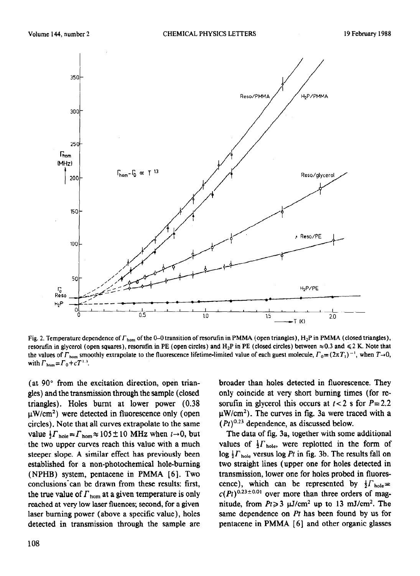

Fig. 2. Temperature dependence of  $\Gamma_{\text{hom}}$  of the 0–0 transition of resorutin in PMMA (open triangles), H<sub>2</sub>P in PMMA (closed triangles), resorufin in glycerol (open squares), resorufin in PE (open circles) and H<sub>2</sub>P in PE (closed circles) between  $\approx 0.3$  and  $\leq 2$  K. Note that the values of  $\Gamma_{\text{hom}}$  smoothly extrapolate to the fluorescence lifetime-limited value of each guest molecule,  $\Gamma_0 = (2\pi T_1)^{-1}$ , when  $T\rightarrow 0$ , with  $F_{\text{hom}}=F_0+cT^{1.3}$ .

(at  $90^{\circ}$  from the excitation direction, open triangles) and the transmission through the sample (closed triangles). Holes burnt at lower power (0.38  $\mu$ W/cm<sup>2</sup>) were detected in fluorescence only (open circles). Note that all curves extrapolate to the same value  $\frac{1}{2} \Gamma_{\text{hole}} = \Gamma_{\text{hom}} \approx 105 \pm 10$  MHz when  $t \to 0$ , but the two upper curves reach this value with a much steeper slope, A similar effect has previously been established for a non-photochemical hole-burning (NPHB) system, pentacene in PMMA [ 61. Two conclusions can be drawn from these results: first, the true value of  $\Gamma_{\text{hom}}$  at a given temperature is only reached at very low laser fluences; second, for a given laser burning power (above a specific value), holes detected in transmission through the sample are broader than holes detected in fluorescence. They only coincide at very short burning times (for resorufin in glycerol this occurs at  $t < 2$  s for  $P = 2.2$  $\mu$ W/cm<sup>2</sup>). The curves in fig. 3a were traced with a  $(Pt)^{0.23}$  dependence, as discussed below.

The data of fig. 3a, together with some additional values of  $\frac{1}{2} \Gamma_{\text{hole}}$ , were replotted in the form of  $\log \frac{1}{2} \Gamma_{\text{hole}}$  versus  $\log Pt$  in fig. 3b. The results fall on two straight lines (upper one for holes detected in transmission, lower one for holes probed in fluorescence), which can be represented by  $\frac{1}{2} \Gamma_{\text{hole}} =$  $c(Pt)^{0.23 \pm 0.01}$  over more than three orders of magnitude, from  $Pt \geq 3$   $\mu$ J/cm<sup>2</sup> up to 13 mJ/cm<sup>2</sup>. The same dependence on *Pt* has been found by us for pentacene in PMMA [ 61 and other organic glasses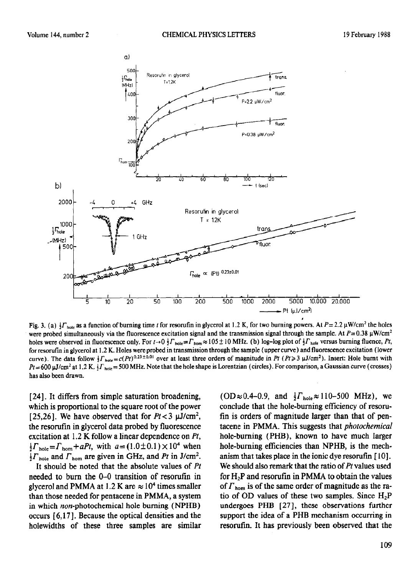

**Fig. 3.** (a)  $\frac{1}{2} \Gamma_{\text{hole}}$  as a function of burning time t for resorutin in glycerol at 1.2 K, for two burning powers. At  $P = 2.2 \mu W/cm^2$  the holes were probed simultaneously via the fluorescence excitation signal and the transmission signal through the sample. At  $P=0.38 \mu\text{W/cm}^2$ holes were observed in fluorescence only. For  $t \to 0$   $\frac{1}{2} \Gamma_{\text{hole}} = \Gamma_{\text{hom}} \approx 105 \pm 10$  MHz. (b) log-log plot of  $\frac{1}{2} \Gamma_{\text{hole}}$  versus burning fluence, *Pt*, for resorufin in glycerol at 1.2 K. Holes were probed in transmission through the sample (upper curve) and fluorescence excitation (lower curve). The data follow  $\int \Gamma_{\text{hole}} = c(Pt)^{0.23\pm0.01}$  over at least three orders of magnitude in Pt (Pt > 3 µJ/cm<sup>2</sup>). Insert: Hole burnt with  $Pt=600 \mu\text{J/cm}^2$  at 1.2 K.  $\frac{1}{2} \Gamma_{\text{hole}} = 500 \text{ MHz}$ . Note that the hole shape is Lorentzian (circles). For comparison, a Gaussian curve (crosses) has also been drawn.

[24]. It differs from simple saturation broadening, which is proportional to the square root of the power [ 25,26]. We have observed that for  $Pt < 3 \mu J/cm^2$ , the resorufin in glycerol data probed by fluorescence excitation at 1.2 K follow a linear dependence on *Pt,*   $\frac{1}{2} \Gamma_{\text{hole}} = \Gamma_{\text{hom}} + aPt$ , with  $a = (1.0 \pm 0.1) \times 10^4$  when  $\frac{1}{2} \Gamma_{\text{hole}}$  and  $\Gamma_{\text{hom}}$  are given in GHz, and *Pt* in J/cm<sup>2</sup>.

It should be noted that the absolute values of *Pt*  needed to burn the O-O transition of resorufin in glycerol and PMMA at 1.2 K are  $\approx 10^4$  times smaller than those needed for pentacene in PMMA, a system in which non-photochemical hole burning (NPHB) occurs [ 6,171. Because the optical densities and the holewidths of these three samples are similar  $(OD \approx 0.4-0.9,$  and  $\frac{1}{2} \Gamma_{\text{hole}} \approx 110-500 \text{ MHz}$ , we conclude that the hole-burning efficiency of resorufin is orders of magnitude larger than that of pentacene in PMMA. This suggests that *photochemical*  hole-burning (PHB), known to have much larger hole-burning efficiencies than NPHB, is the mechanism that takes place in the ionic dye resorufin  $[10]$ . We should also remark that the ratio of *Pt* values used for  $H_2P$  and resorufin in PMMA to obtain the values of  $\Gamma_{\text{hom}}$  is of the same order of magnitude as the ratio of OD values of these two samples. Since  $H_2P$ undergoes PHB [27], these observations further support the idea of a PHB mechanism occurring in resorufin. It has previously been observed that the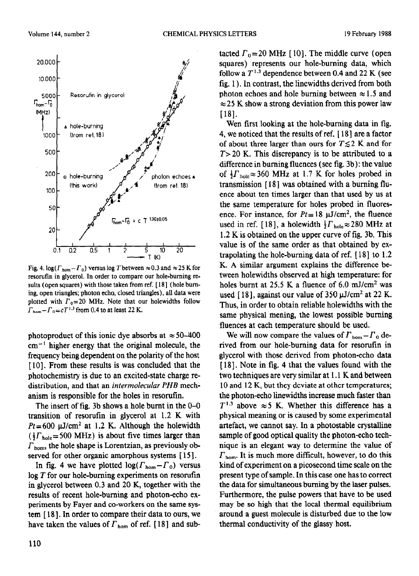

Fig. 4.  $\log(\Gamma_{\text{hom}} - \Gamma_0)$  versus log T between  $\approx 0.3$  and  $\approx 25$  K for resorufin in glycerol. In order to compare our hole-burning results (open squares) with those taken from ref. [18] (hole burning, open triangles; photon echo, closed triangles), all data were plotted with  $\Gamma_0=20$  MHz. Note that our holewidths follow  $\Gamma_{\text{hom}}- \Gamma_0 = cT^{1.3}$  from 0.4 to at least 22 K.

photoproduct of this ionic dye absorbs at  $\approx 50-400$  $cm^{-1}$  higher energy that the original molecule, the frequency being dependent on the polarity of the host [10]. From these results is was concluded that the photochemistry is due to an excited-state charge redistribution, and that an *intermolecular PHB* mechanism is responsible for the holes in resorufin.

The insert of fig. 3b shows a hole burnt in the O-O transition of resorufin in glycerol at 1.2 K with  $Pt = 600 \mu J/cm^2$  at 1.2 K. Although the holewidth  $(\frac{1}{2} \Gamma_{\text{hole}} = 500 \text{ MHz})$  is about five times larger than  $\Gamma_{\text{hom}}$ , the hole shape is Lorentzian, as previously observed for other organic amorphous systems [15].

In fig. 4 we have plotted  $\log(\Gamma_{\text{hom}}- \Gamma_0)$  versus log *T* for our hole-burning experiments on resorufin in glycerol between 0.3 and 20 K, together with the results of recent hole-burning and photon-echo experiments by Fayer and co-workers on the same system [ 18 1. In order to compare their data to ours, we have taken the values of  $\Gamma_{\text{hom}}$  of ref. [18] and sub-

tacted  $\Gamma_0$ =20 MHz [10]. The middle curve (open squares) represents our hole-burning data, which follow a  $T^{1.3}$  dependence between 0.4 and 22 K (see fig. 1). In contrast, the linewidths derived from both photon echoes and hole burning between  $\approx 1.5$  and  $\approx$  25 K show a strong deviation from this power law [18].

Wen first looking at the hole-burning data in fig. 4, we noticed that the results of ref. [ 181 are a factor of about three larger than ours for  $T \leq 2$  K and for *T>20* K. This discrepancy is to be attributed to a difference in burning fluences (see fig. 3b) : the value of  $\frac{1}{2} \Gamma_{\text{hole}} \approx 360 \text{ MHz}$  at 1.7 K for holes probed in transmission [ 18 ] was obtained with a burning fluence about ten times larger than that used by us at the same temperature for holes probed in fluoresence. For instance, for  $Pt = 18 \mu J/cm^2$ , the fluence used in ref. [18], a holewidth  $\frac{1}{2} \Gamma_{\text{hole}} \approx 280 \text{ MHz}$  at 1.2 K is obtained on the upper curve of fig. 3b. This value is of the same order as that obtained by extrapolating the hole-burning data of ref. [ 181 to 1.2 K. A similar argument explains the difference between holewidths observed at high temperature: for holes burnt at 25.5 K a fluence of  $6.0 \text{ mJ/cm}^2$  was used [18], against our value of 350  $\mu$ J/cm<sup>2</sup> at 22 K. Thus, in order to obtain reliable holewidths with the same physical mening, the lowest possible burning fluences at each temperature should be used.

We will now compare the values of  $\Gamma_{\text{hom}}- \Gamma_0$  derived from our hole-burning data for resorufin in glycerol with those derived from photon-echo data [18]. Note in fig. 4 that the values found with the two techniques are very similar at 1.1 K and between 10 and 12 K, but they deviate at other temperatures; the photon-echo linewidths increase much faster than  $T^{1.3}$  above  $\approx$  5 K. Whether this difference has a physical meaning or is caused by some experimental artefact, we cannot say. In a photostable crystalline sample of good optical quality the photon-echo technique is an elegant way to determine the value of  $\Gamma_{\rm hom}$ . It is much more difficult, however, to do this kind of experiment on a picosecond time scale on the present type of sample. In this case one has to correct the data for simultaneous burning by the laser pulses. Furthermore, the pulse powers that have to be used may be so high that the local thermal equilibrium around a guest molecule is disturbed due to the low thermal conductivity of the glassy host.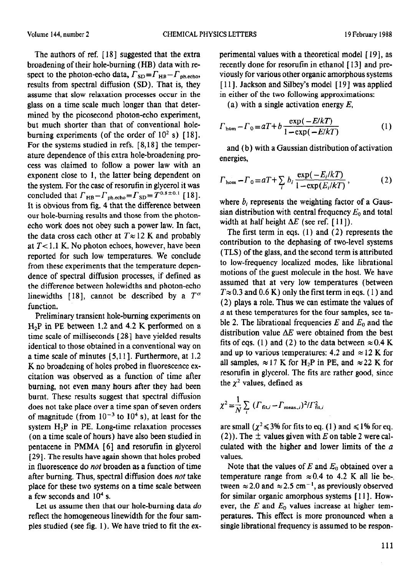The authors of ref.  $[18]$  suggested that the extra broadening of their hole-burning (HB) data with respect to the photon-echo data,  $\Gamma_{SD} = \Gamma_{HB} - \Gamma_{ph,echo}$ , results from spectral diffusion (SD). That is, they assume that slow relaxation processes occur in the glass on a time scale much longer than that determined by the picosecond photon-echo experiment, but much shorter than that of conventional holeburning experiments (of the order of  $10^2$  s) [18]. For the systems studied in refs.  $[8,18]$  the temperature dependence of this extra hole-broadening process was claimed to follow a power law with an exponent close to 1, the latter being dependent on the system. For the case of resorufin in glycerol it was concluded that  $\Gamma_{\text{HB}} - \Gamma_{\text{ph.echo}} = \Gamma_{\text{SD}} = T^{0.8 \pm 0.1}$  [18]. It is obvious from fig. 4 that the difference between our hole-burning results and those from the photonecho work does not obey such a power law. In fact, the data cross each other at  $T \approx 12$  K and probably at  $T<1.1$  K. No photon echoes, however, have been reported for such low temperatures. We conclude from these experiments that the temperature dependence of spectral diffusion processes, if defined as the difference between holewidths and photon-echo linewidths [18], cannot be described by a  $T^{\alpha}$ function.

Preliminary transient hole-burning experiments on H2P in PE between 1.2 and 4.2 K performed on a time scale of milliseconds [28] have yielded results identical to those obtained in a conventional way on a time scale of minutes [ 5,111. Furthermore, at 1.2 K no broadening of holes probed in fluorescence excitation was observed as a function of time after burning, not even many hours after they had been burnt, These results suggest that spectral diffusion does not take place over a time span of seven orders of magnitude (from  $10^{-3}$  to  $10^{4}$  s), at least for the system H,P in PE. Long-time relaxation processes (on a time scale of hours) have also been studied in pentacene in PMMA  $[6]$  and resorufin in glycerol [29]. The results have again shown that holes probed in fluorescence do not broaden as a function of time after burning. Thus, spectral diffusion does not take place for these two systems on a time scale between a few seconds and  $10<sup>4</sup>$  s.

Let us assume then that our hole-burning data *do*  reflect the homogeneous linewidth for the four samples studied (see fig. 1). We have tried to fit the experimental values with a theoretical model [ 191, as recently done for resorufm in ethanol [ 131 and prcviously for various other organic amorphous systems [11]. Jackson and Silbey's model [19] was applied in either of the two following approximations:

(a) with a single activation energy *E,* 

$$
\Gamma_{\text{hom}} - \Gamma_0 = aT + b \frac{\exp(-E/kT)}{1 - \exp(-E/kT)} \tag{1}
$$

and (b) with a Gaussian distribution of activation energies,

$$
\Gamma_{\text{hom}} - \Gamma_0 = aT + \sum_i b_i \frac{\exp(-E_i/kT)}{1 - \exp(E_i/kT)},
$$
\n(2)

where  $b_i$  represents the weighting factor of a Gaussian distribution with central frequency  $E_0$  and total width at half height  $\Delta E$  (see ref. [11]).

The first term in eqs. (1) and (2) represents the contribution to the dephasing of two-level systems (TLS) of the glass, and the second term is attributed to low-frequency localized modes, like librational motions of the guest molecule in the host. We have assumed that at very low temperatures (between  $T \approx 0.3$  and  $0.6$  K) only the first term in eqs. (1) and (2) plays a role. Thus we can estimate the values of *a* at these temperatures for the four samples, see table 2. The librational frequencies  $E$  and  $E_0$  and the distribution value  $\Delta E$  were obtained from the best fits of eqs. (1) and (2) to the data between  $\approx 0.4$  K and up to various temperatures: 4.2 and  $\approx$  12 K for all samples,  $\approx$  17 K for H<sub>2</sub>P in PE, and  $\approx$  22 K for resorufin in glycerol. The fits are rather good, since the  $\chi^2$  values, defined as

$$
\chi^2 = \frac{1}{N} \sum_{i} ( \Gamma_{\text{fit},i} - \Gamma_{\text{meas},i} )^2 / \Gamma_{\text{fit},i}^2
$$

are small ( $\chi^2 \leq 3\%$  for fits to eq. (1) and  $\leq 1\%$  for eq. (2)). The  $\pm$  values given with *E* on table 2 were calculated with the higher and lower limits of the *a*  values.

Note that the values of  $E$  and  $E_0$  obtained over a temperature range from  $\approx 0.4$  to 4.2 K all lie be-. tween  $\approx$  2.0 and  $\approx$  2.5 cm<sup>-1</sup>, as previously observed for similar organic amorphous systems [ Ill. However, the  $E$  and  $E_0$  values increase at higher temperatures. This effect is more pronounced when a single librational frequency is assumed to be respon-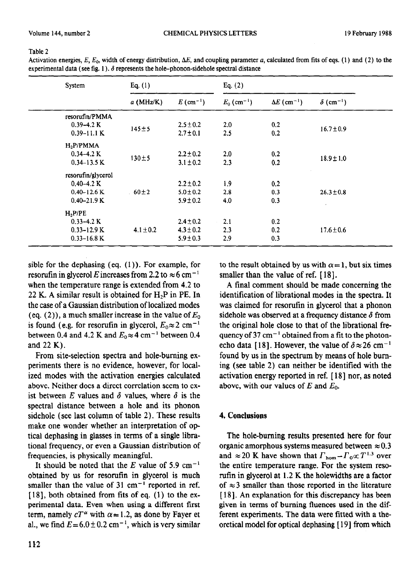#### Table 2

| System                                                                      | Eq. $(1)$     |                                                 | Eq. $(2)$                 |                                |                              |  |
|-----------------------------------------------------------------------------|---------------|-------------------------------------------------|---------------------------|--------------------------------|------------------------------|--|
|                                                                             | $a$ (MHz/K)   | $E(\text{cm}^{-1})$                             | $E_0$ (cm <sup>-1</sup> ) | $\Delta E$ (cm <sup>-1</sup> ) | $\delta$ (cm <sup>-1</sup> ) |  |
| resorufin/PMMA<br>$0.39 - 4.2 K$<br>$0.39 - 11.1 K$                         | $145 + 5$     | $2.5 \pm 0.2$<br>$2.7 \pm 0.1$                  | 2.0<br>2.5                | 0.2<br>0.2                     | $16.7 \pm 0.9$               |  |
| $H_2P/PMMA$<br>$0.34 - 4.2 K$<br>$0.34 - 13.5$ K                            | $130 \pm 5$   | $2.2 \pm 0.2$<br>$3.1 \pm 0.2$                  | 2.0<br>2.3                | 0.2<br>0.2                     | $18.9 \pm 1.0$               |  |
| resorufin/glycerol<br>$0.40 - 4.2 K$<br>$0.40 - 12.6$ K<br>$0.40 - 21.9 K$  | $60\pm2$      | $2.2 \pm 0.2$<br>$5.0 \pm 0.2$<br>$5.9 \pm 0.2$ | 1.9<br>2.8<br>4.0         | 0.2<br>0.3<br>0.3              | $26.3 \pm 0.8$<br>$\epsilon$ |  |
| H <sub>2</sub> P/PE<br>$0.33 - 4.2 K$<br>$0.33 - 12.9$ K<br>$0.33 - 16.8$ K | $4.1 \pm 0.2$ | $2.4 \pm 0.2$<br>$4.3 \pm 0.2$<br>$5.9 \pm 0.3$ | 2.1<br>2.3<br>2.9         | 0.2<br>0.2<br>0.3              | $17.6 \pm 0.6$               |  |

Activation energies, E,  $E_0$ , width of energy distribution,  $\Delta E$ , and coupling parameter a, calculated from fits of eqs. (1) and (2) to the experimental data (see fig. 1).  $\delta$  represents the hole-phonon-sidehole spectral distance

sible for the dephasing (eq. (1)). For example, for resorutin in glycerol *E* increases from 2.2 to  $\approx 6 \text{ cm}^{-1}$ when the temperature range is extended from 4.2 to 22 K. A similar result is obtained for  $H_2P$  in PE. In the case of a Gaussian distribution of localized modes (eq.  $(2)$ ), a much smaller increase in the value of  $E_0$ is found (e.g. for resorufin in glycerol,  $E_0 \approx 2$  cm<sup>-1</sup> between 0.4 and 4.2 K and  $E_0 \approx 4$  cm<sup>-1</sup> between 0.4 and 22 K).

From site-selection spectra and hole-burning experiments there is no evidence, however, for localized modes with the activation energies calculated above. Neither does a direct correlation seem to exist between E values and  $\delta$  values, where  $\delta$  is the spectral distance between a hole and its phonon sidehole (see last column of table 2). These results make one wonder whether an interpretation of optical dephasing in glasses in terms of a single librational frequency, or even a Gaussian distribution of frequencies, is physically meaningful.

It should be noted that the  $E$  value of 5.9 cm<sup>-1</sup> obtained by us for resorufin in glycerol is much smaller than the value of  $31 \text{ cm}^{-1}$  reported in ref.  $[18]$ , both obtained from fits of eq.  $(1)$  to the experimental data. Even when using a different first term, namely  $cT^{\alpha}$  with  $\alpha = 1.2$ , as done by Fayer et al., we find  $E = 6.0 \pm 0.2$  cm<sup>-1</sup>, which is very similar to the result obtained by us with  $\alpha = 1$ , but six times smaller than the value of ref. [18].

A final comment should be made concerning the identification of librational modes in the spectra. It was claimed for resoruf in glycerol that a phonon sidehole was observed at a frequency distance  $\delta$  from the original hole close to that of the librational frequency of  $37 \text{ cm}^{-1}$  obtained from a fit to the photonecho data [18]. However, the value of  $\delta \approx 26$  cm<sup>-1</sup> found by us in the spectrum by means of hole buming (see table 2) can neither be identified with the activation energy reported in ref. [ 181 nor, as noted above, with our values of *E* and *Eo.* 

## 4. **Conclusions**

The hole-burning results presented here for four organic amorphous systems measured between  $\approx 0.3$ and  $\approx 20$  K have shown that  $\Gamma_{\text{hom}} - \Gamma_0 \propto T^{1.3}$  over the entire temperature range. For the system resorufin in glycerol at 1.2 K the holewidths are a factor of  $\approx$  3 smaller than those reported in the literature [18]. An explanation for this discrepancy has been given in terms of burning fluences used in the different experiments. The data were fitted with a theoretical model for optical dephasing [ 191 from which